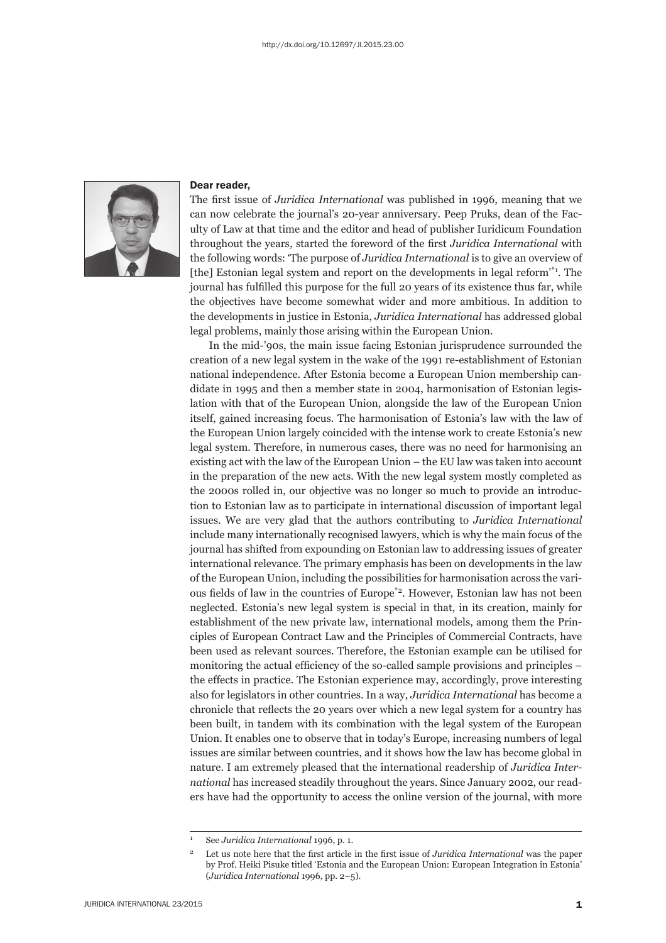

## Dear reader,

The first issue of *Juridica International* was published in 1996, meaning that we can now celebrate the journal's 20-year anniversary. Peep Pruks, dean of the Faculty of Law at that time and the editor and head of publisher Iuridicum Foundation throughout the years, started the foreword of the first *Juridica International* with the following words: 'The purpose of *Juridica International* is to give an overview of [the] Estonian legal system and report on the developments in legal reform'\*1. The journal has fulfilled this purpose for the full 20 years of its existence thus far, while the objectives have become somewhat wider and more ambitious. In addition to the developments in justice in Estonia, *Juridica International* has addressed global legal problems, mainly those arising within the European Union.

In the mid-'90s, the main issue facing Estonian jurisprudence surrounded the creation of a new legal system in the wake of the 1991 re-establishment of Estonian national independence. After Estonia become a European Union membership candidate in 1995 and then a member state in 2004, harmonisation of Estonian legislation with that of the European Union, alongside the law of the European Union itself, gained increasing focus. The harmonisation of Estonia's law with the law of the European Union largely coincided with the intense work to create Estonia's new legal system. Therefore, in numerous cases, there was no need for harmonising an existing act with the law of the European Union – the EU law was taken into account in the preparation of the new acts. With the new legal system mostly completed as the 2000s rolled in, our objective was no longer so much to provide an introduction to Estonian law as to participate in international discussion of important legal issues. We are very glad that the authors contributing to *Juridica International* include many internationally recognised lawyers, which is why the main focus of the journal has shifted from expounding on Estonian law to addressing issues of greater international relevance. The primary emphasis has been on developments in the law of the European Union, including the possibilities for harmonisation across the various fields of law in the countries of Europe<sup>\*2</sup>. However, Estonian law has not been neglected. Estonia's new legal system is special in that, in its creation, mainly for establishment of the new private law, international models, among them the Principles of European Contract Law and the Principles of Commercial Contracts, have been used as relevant sources. Therefore, the Estonian example can be utilised for monitoring the actual efficiency of the so-called sample provisions and principles – the effects in practice. The Estonian experience may, accordingly, prove interesting also for legislators in other countries. In a way, *Juridica International* has become a chronicle that reflects the 20 years over which a new legal system for a country has been built, in tandem with its combination with the legal system of the European Union. It enables one to observe that in today's Europe, increasing numbers of legal issues are similar between countries, and it shows how the law has become global in nature. I am extremely pleased that the international readership of *Juridica International* has increased steadily throughout the years. Since January 2002, our readers have had the opportunity to access the online version of the journal, with more

<sup>1</sup> See *Juridica International* 1996, p. 1.

Let us note here that the first article in the first issue of *Juridica International* was the paper by Prof. Heiki Pisuke titled 'Estonia and the European Union: European Integration in Estonia' (*Juridica International* 1996, pp. 2–5).